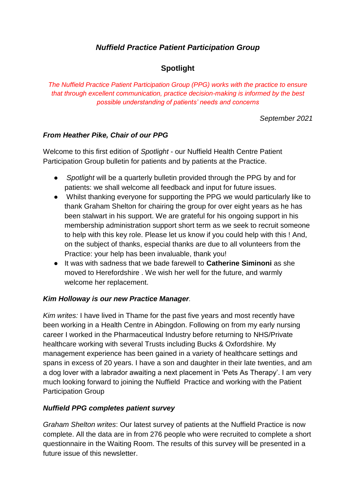# *Nuffield Practice Patient Participation Group*

## **Spotlight**

*The Nuffield Practice Patient Participation Group (PPG) works with the practice to ensure that through excellent communication, practice decision-making is informed by the best possible understanding of patients' needs and concerns*

*September 2021*

#### *From Heather Pike, Chair of our PPG*

Welcome to this first edition of *Spotlight* - our Nuffield Health Centre Patient Participation Group bulletin for patients and by patients at the Practice.

- *Spotlight* will be a quarterly bulletin provided through the PPG by and for patients: we shall welcome all feedback and input for future issues.
- Whilst thanking everyone for supporting the PPG we would particularly like to thank Graham Shelton for chairing the group for over eight years as he has been stalwart in his support. We are grateful for his ongoing support in his membership administration support short term as we seek to recruit someone to help with this key role. Please let us know if you could help with this ! And, on the subject of thanks, especial thanks are due to all volunteers from the Practice: your help has been invaluable, thank you!
- It was with sadness that we bade farewell to **Catherine Siminoni** as she moved to Herefordshire . We wish her well for the future, and warmly welcome her replacement.

#### *Kim Holloway is our new Practice Manager.*

*Kim writes:* I have lived in Thame for the past five years and most recently have been working in a Health Centre in Abingdon. Following on from my early nursing career I worked in the Pharmaceutical Industry before returning to NHS/Private healthcare working with several Trusts including Bucks & Oxfordshire. My management experience has been gained in a variety of healthcare settings and spans in excess of 20 years. I have a son and daughter in their late twenties, and am a dog lover with a labrador awaiting a next placement in 'Pets As Therapy'. I am very much looking forward to joining the Nuffield Practice and working with the Patient Participation Group

#### *Nuffield PPG completes patient survey*

*Graham Shelton writes*: Our latest survey of patients at the Nuffield Practice is now complete. All the data are in from 276 people who were recruited to complete a short questionnaire in the Waiting Room. The results of this survey will be presented in a future issue of this newsletter.